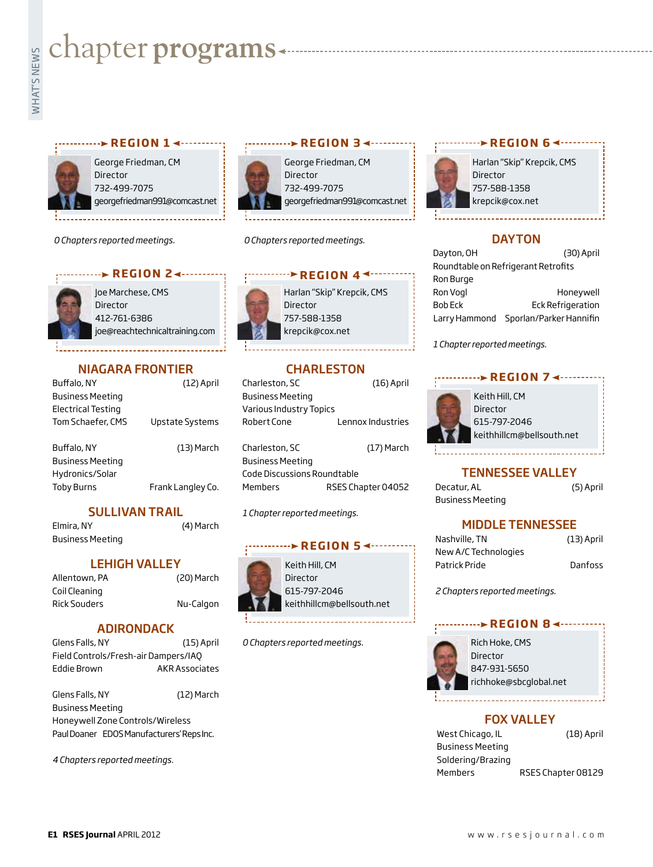# **whater programs**<br>Example:<br>Fig. 1



#### **r e g i o n 1 r e g i o n 3**

George Friedman, CM Director 732-499-7075 georgefriedman991@comcast.net

*0 Chapters reported meetings.*



Joe Marchese, CMS Director 412-761-6386 joe@reachtechnicaltraining.com

#### NIAGARA FRONTIER

| Buffalo, NY               | (12) April        |
|---------------------------|-------------------|
| <b>Business Meeting</b>   |                   |
| <b>Electrical Testing</b> |                   |
| Tom Schaefer, CMS         | Upstate Systems   |
|                           |                   |
| Buffalo, NY               | (13) March        |
| <b>Business Meeting</b>   |                   |
| Hydronics/Solar           |                   |
| <b>Toby Burns</b>         | Frank Langley Co. |
|                           |                   |

#### SULLIVAN TRAIL

Elmira, NY (4) March Business Meeting

#### LEHIGH VALLEY

Allentown, PA (20) March Coil Cleaning Rick Souders Nu-Calgon

#### ADIRONDACK

| Glens Falls, NY                      | $(15)$ April   |
|--------------------------------------|----------------|
| Field Controls/Fresh-air Dampers/IAQ |                |
| Eddie Brown                          | AKR Associates |

Glens Falls, NY (12) March Business Meeting Honeywell Zone Controls/Wireless Paul Doaner EDOS Manufacturers' Reps Inc.

*4 Chapters reported meetings.*



George Friedman, CM Director 732-499-7075 georgefriedman991@comcast.net

*0 Chapters reported meetings.*

### *r* **REGION 4<sup>4</sup>**

Harlan "Skip" Krepcik, CMS Director 757-588-1358 krepcik@cox.net

#### **CHARLESTON**

| Charleston, SC              | $(16)$ April       |
|-----------------------------|--------------------|
| <b>Business Meeting</b>     |                    |
| Various Industry Topics     |                    |
| Robert Cone                 | Lennox Industries  |
|                             |                    |
| Charleston, SC              | (17) March         |
| <b>Business Meeting</b>     |                    |
| Code Discussions Roundtable |                    |
| Members                     | RSES Chapter 04052 |

*1 Chapter reported meetings.*

### **REGION 5 <--------**

Keith Hill, CM Director 615-797-2046 keithhillcm@bellsouth.net

*0 Chapters reported meetings.*

## **REGION 64 -------**

Harlan "Skip" Krepcik, CMS Director 757-588-1358 krepcik@cox.net

#### **DAYTON**

| Dayton, OH | (30) April                            |
|------------|---------------------------------------|
|            | Roundtable on Refrigerant Retrofits   |
| Ron Burge  |                                       |
| Ron Vogl   | Honeywell                             |
| Bob Eck    | <b>Eck Refrigeration</b>              |
|            | Larry Hammond Sporlan/Parker Hannifin |

*1 Chapter reported meetings.*

#### **REGION 7 ∢ ··········**



Keith Hill, CM Director 615-797-2046 keithhillcm@bellsouth.net

#### TENNESSEE VALLEY

Decatur, AL (5) April Business Meeting

#### MIDDLE TENNESSEE

| Nashville, TN        | $(13)$ April |
|----------------------|--------------|
| New A/C Technologies |              |
| Patrick Pride        | Danfoss      |
|                      |              |

*2 Chapters reported meetings.*

#### *REGION 8 ∡ ••••••••*



Rich Hoke, CMS Director 847-931-5650 richhoke@sbcglobal.net

#### Fox Valley

| West Chicago, IL        | $(18)$ April       |
|-------------------------|--------------------|
| <b>Business Meeting</b> |                    |
| Soldering/Brazing       |                    |
| Members                 | RSES Chapter 08129 |